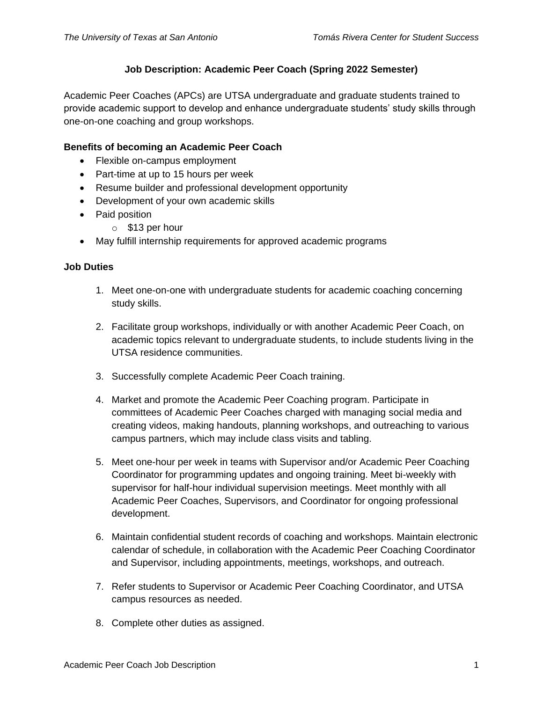# **Job Description: Academic Peer Coach (Spring 2022 Semester)**

Academic Peer Coaches (APCs) are UTSA undergraduate and graduate students trained to provide academic support to develop and enhance undergraduate students' study skills through one-on-one coaching and group workshops.

### **Benefits of becoming an Academic Peer Coach**

- Flexible on-campus employment
- Part-time at up to 15 hours per week
- Resume builder and professional development opportunity
- Development of your own academic skills
- Paid position
	- o \$13 per hour
- May fulfill internship requirements for approved academic programs

#### **Job Duties**

- 1. Meet one-on-one with undergraduate students for academic coaching concerning study skills.
- 2. Facilitate group workshops, individually or with another Academic Peer Coach, on academic topics relevant to undergraduate students, to include students living in the UTSA residence communities.
- 3. Successfully complete Academic Peer Coach training.
- 4. Market and promote the Academic Peer Coaching program. Participate in committees of Academic Peer Coaches charged with managing social media and creating videos, making handouts, planning workshops, and outreaching to various campus partners, which may include class visits and tabling.
- 5. Meet one-hour per week in teams with Supervisor and/or Academic Peer Coaching Coordinator for programming updates and ongoing training. Meet bi-weekly with supervisor for half-hour individual supervision meetings. Meet monthly with all Academic Peer Coaches, Supervisors, and Coordinator for ongoing professional development.
- 6. Maintain confidential student records of coaching and workshops. Maintain electronic calendar of schedule, in collaboration with the Academic Peer Coaching Coordinator and Supervisor, including appointments, meetings, workshops, and outreach.
- 7. Refer students to Supervisor or Academic Peer Coaching Coordinator, and UTSA campus resources as needed.
- 8. Complete other duties as assigned.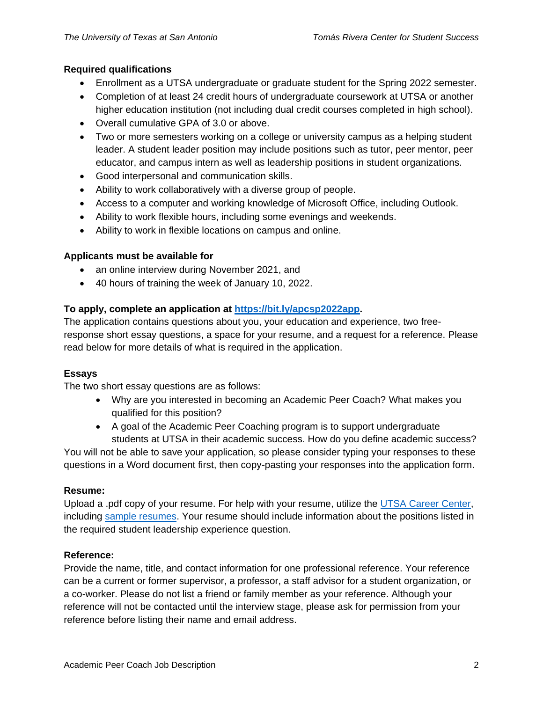## **Required qualifications**

- Enrollment as a UTSA undergraduate or graduate student for the Spring 2022 semester.
- Completion of at least 24 credit hours of undergraduate coursework at UTSA or another higher education institution (not including dual credit courses completed in high school).
- Overall cumulative GPA of 3.0 or above.
- Two or more semesters working on a college or university campus as a helping student leader. A student leader position may include positions such as tutor, peer mentor, peer educator, and campus intern as well as leadership positions in student organizations.
- Good interpersonal and communication skills.
- Ability to work collaboratively with a diverse group of people.
- Access to a computer and working knowledge of Microsoft Office, including Outlook.
- Ability to work flexible hours, including some evenings and weekends.
- Ability to work in flexible locations on campus and online.

### **Applicants must be available for**

- an online interview during November 2021, and
- 40 hours of training the week of January 10, 2022.

## **To apply, complete an application at [https://bit.ly/apcsp2022app.](https://bit.ly/apcsp2022app)**

The application contains questions about you, your education and experience, two freeresponse short essay questions, a space for your resume, and a request for a reference. Please read below for more details of what is required in the application.

### **Essays**

The two short essay questions are as follows:

- Why are you interested in becoming an Academic Peer Coach? What makes you qualified for this position?
- A goal of the Academic Peer Coaching program is to support undergraduate students at UTSA in their academic success. How do you define academic success?

You will not be able to save your application, so please consider typing your responses to these questions in a Word document first, then copy-pasting your responses into the application form.

### **Resume:**

Upload a .pdf copy of your resume. For help with your resume, utilize the [UTSA Career Center,](https://careercenter.utsa.edu/) including [sample resumes.](https://careercenter.utsa.edu/resources/resume-sample-resource-12-2018/) Your resume should include information about the positions listed in the required student leadership experience question.

### **Reference:**

Provide the name, title, and contact information for one professional reference. Your reference can be a current or former supervisor, a professor, a staff advisor for a student organization, or a co-worker. Please do not list a friend or family member as your reference. Although your reference will not be contacted until the interview stage, please ask for permission from your reference before listing their name and email address.